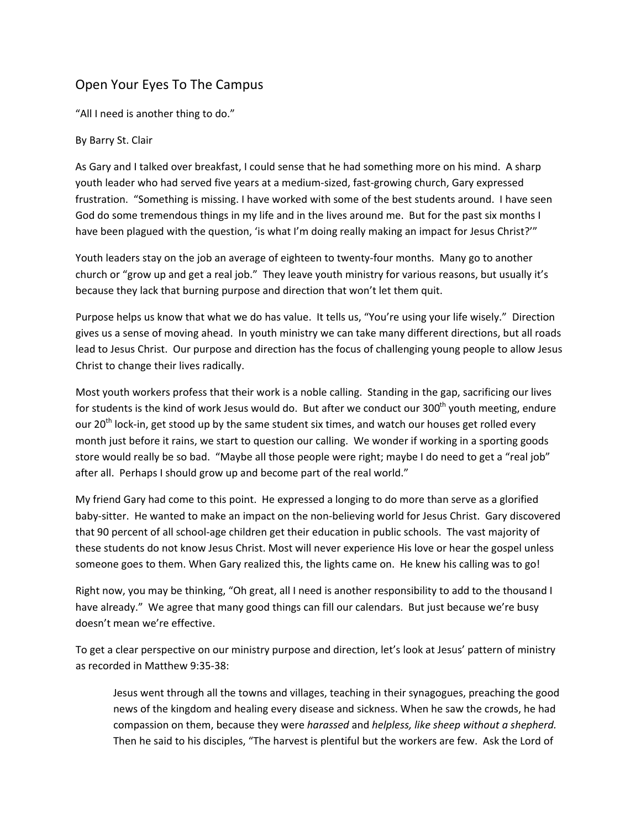## Open Your Eyes To The Campus

"All I need is another thing to do."

## By Barry St. Clair

As Gary and I talked over breakfast, I could sense that he had something more on his mind. A sharp youth leader who had served five years at a medium‐sized, fast‐growing church, Gary expressed frustration. "Something is missing. I have worked with some of the best students around. I have seen God do some tremendous things in my life and in the lives around me. But for the past six months I have been plagued with the question, 'is what I'm doing really making an impact for Jesus Christ?'"

Youth leaders stay on the job an average of eighteen to twenty-four months. Many go to another church or "grow up and get a real job." They leave youth ministry for various reasons, but usually it's because they lack that burning purpose and direction that won't let them quit.

Purpose helps us know that what we do has value. It tells us, "You're using your life wisely." Direction gives us a sense of moving ahead. In youth ministry we can take many different directions, but all roads lead to Jesus Christ. Our purpose and direction has the focus of challenging young people to allow Jesus Christ to change their lives radically.

Most youth workers profess that their work is a noble calling. Standing in the gap, sacrificing our lives for students is the kind of work Jesus would do. But after we conduct our 300<sup>th</sup> youth meeting, endure our 20<sup>th</sup> lock-in, get stood up by the same student six times, and watch our houses get rolled every month just before it rains, we start to question our calling. We wonder if working in a sporting goods store would really be so bad. "Maybe all those people were right; maybe I do need to get a "real job" after all. Perhaps I should grow up and become part of the real world."

My friend Gary had come to this point. He expressed a longing to do more than serve as a glorified baby-sitter. He wanted to make an impact on the non-believing world for Jesus Christ. Gary discovered that 90 percent of all school‐age children get their education in public schools. The vast majority of these students do not know Jesus Christ. Most will never experience His love or hear the gospel unless someone goes to them. When Gary realized this, the lights came on. He knew his calling was to go!

Right now, you may be thinking, "Oh great, all I need is another responsibility to add to the thousand I have already." We agree that many good things can fill our calendars. But just because we're busy doesn't mean we're effective.

To get a clear perspective on our ministry purpose and direction, let's look at Jesus' pattern of ministry as recorded in Matthew 9:35‐38:

Jesus went through all the towns and villages, teaching in their synagogues, preaching the good news of the kingdom and healing every disease and sickness. When he saw the crowds, he had compassion on them, because they were *harassed* and *helpless, like sheep without a shepherd.* Then he said to his disciples, "The harvest is plentiful but the workers are few. Ask the Lord of